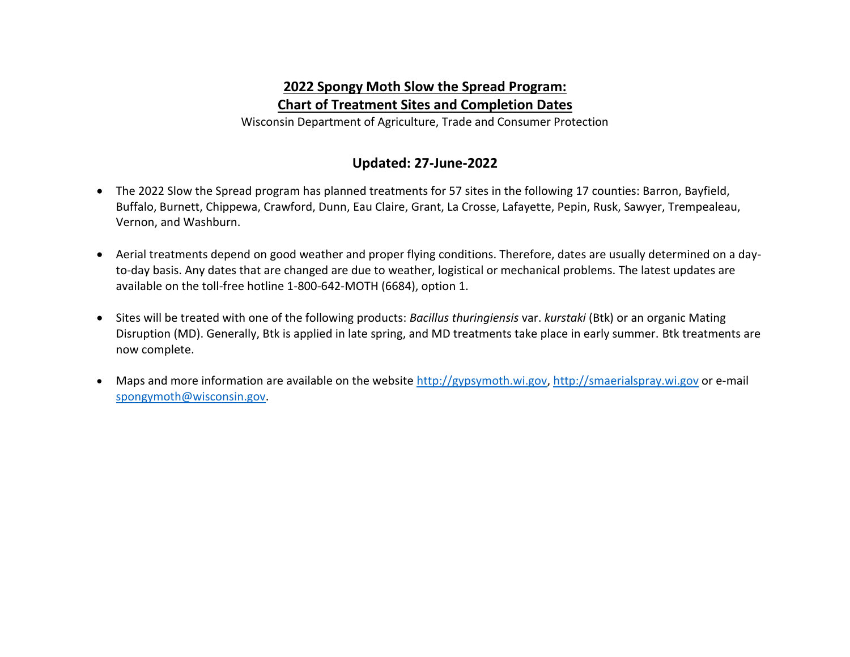## **2022 Spongy Moth Slow the Spread Program: Chart of Treatment Sites and Completion Dates**

Wisconsin Department of Agriculture, Trade and Consumer Protection

## **Updated: 27-June-2022**

- The 2022 Slow the Spread program has planned treatments for 57 sites in the following 17 counties: Barron, Bayfield, Buffalo, Burnett, Chippewa, Crawford, Dunn, Eau Claire, Grant, La Crosse, Lafayette, Pepin, Rusk, Sawyer, Trempealeau, Vernon, and Washburn.
- Aerial treatments depend on good weather and proper flying conditions. Therefore, dates are usually determined on a dayto-day basis. Any dates that are changed are due to weather, logistical or mechanical problems. The latest updates are available on the toll-free hotline 1-800-642-MOTH (6684), option 1.
- Sites will be treated with one of the following products: *Bacillus thuringiensis* var. *kurstaki* (Btk) or an organic Mating Disruption (MD). Generally, Btk is applied in late spring, and MD treatments take place in early summer. Btk treatments are now complete.
- Maps and more information are available on the website [http://gypsymoth.wi.gov,](http://gypsymoth.wi.gov/) [http://smaerialspray.wi.gov](http://smaerialspray.wi.gov/) or e-mail [spongymoth@wisconsin.gov.](mailto:spongymoth@wisconsin.gov)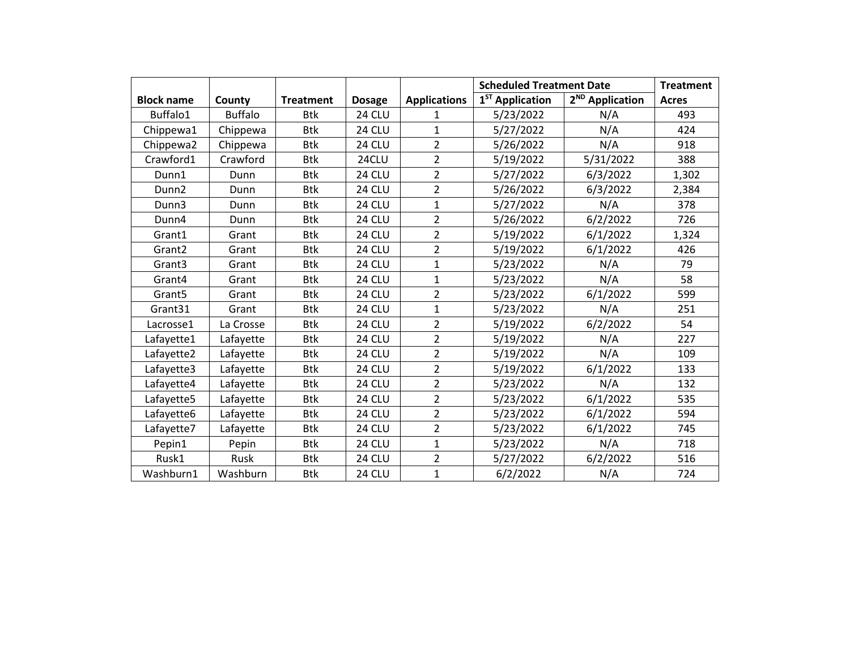|                    |                |                  |               |                     | <b>Scheduled Treatment Date</b> | <b>Treatment</b>            |              |
|--------------------|----------------|------------------|---------------|---------------------|---------------------------------|-----------------------------|--------------|
| <b>Block name</b>  | County         | <b>Treatment</b> | <b>Dosage</b> | <b>Applications</b> | 1 <sup>ST</sup> Application     | 2 <sup>ND</sup> Application | <b>Acres</b> |
| Buffalo1           | <b>Buffalo</b> | Btk              | 24 CLU        | 1                   | 5/23/2022                       | N/A                         | 493          |
| Chippewa1          | Chippewa       | <b>Btk</b>       | 24 CLU        | $\mathbf{1}$        | 5/27/2022                       | N/A                         | 424          |
| Chippewa2          | Chippewa       | <b>Btk</b>       | 24 CLU        | $\overline{2}$      | 5/26/2022                       | N/A                         | 918          |
| Crawford1          | Crawford       | <b>Btk</b>       | 24CLU         | $\overline{2}$      | 5/19/2022                       | 5/31/2022                   | 388          |
| Dunn1              | Dunn           | <b>Btk</b>       | 24 CLU        | $\overline{2}$      | 5/27/2022                       | 6/3/2022                    | 1,302        |
| Dunn <sub>2</sub>  | Dunn           | <b>Btk</b>       | 24 CLU        | $\overline{2}$      | 5/26/2022                       | 6/3/2022                    | 2,384        |
| Dunn3              | Dunn           | <b>Btk</b>       | 24 CLU        | $\mathbf{1}$        | 5/27/2022                       | N/A                         | 378          |
| Dunn4              | Dunn           | <b>Btk</b>       | 24 CLU        | $\overline{2}$      | 5/26/2022                       | 6/2/2022                    | 726          |
| Grant1             | Grant          | <b>Btk</b>       | 24 CLU        | $\overline{2}$      | 5/19/2022                       | 6/1/2022                    | 1,324        |
| Grant <sub>2</sub> | Grant          | <b>Btk</b>       | 24 CLU        | $\overline{2}$      | 5/19/2022                       | 6/1/2022                    | 426          |
| Grant3             | Grant          | <b>Btk</b>       | 24 CLU        | $\mathbf{1}$        | 5/23/2022                       | N/A                         | 79           |
| Grant4             | Grant          | <b>Btk</b>       | 24 CLU        | $\mathbf{1}$        | 5/23/2022                       | N/A                         | 58           |
| Grant <sub>5</sub> | Grant          | <b>Btk</b>       | 24 CLU        | $\overline{2}$      | 5/23/2022                       | 6/1/2022                    | 599          |
| Grant31            | Grant          | <b>Btk</b>       | 24 CLU        | $\mathbf{1}$        | 5/23/2022                       | N/A                         | 251          |
| Lacrosse1          | La Crosse      | Btk              | 24 CLU        | $\overline{2}$      | 5/19/2022                       | 6/2/2022                    | 54           |
| Lafayette1         | Lafayette      | <b>Btk</b>       | 24 CLU        | $\overline{2}$      | 5/19/2022                       | N/A                         | 227          |
| Lafayette2         | Lafayette      | <b>Btk</b>       | 24 CLU        | $\overline{2}$      | 5/19/2022                       | N/A                         | 109          |
| Lafayette3         | Lafayette      | <b>Btk</b>       | 24 CLU        | $\overline{2}$      | 5/19/2022                       | 6/1/2022                    | 133          |
| Lafayette4         | Lafayette      | <b>Btk</b>       | 24 CLU        | $\overline{2}$      | 5/23/2022                       | N/A                         | 132          |
| Lafayette5         | Lafayette      | <b>Btk</b>       | 24 CLU        | $\overline{2}$      | 5/23/2022                       | 6/1/2022                    | 535          |
| Lafayette6         | Lafayette      | <b>Btk</b>       | 24 CLU        | $\overline{2}$      | 5/23/2022                       | 6/1/2022                    | 594          |
| Lafayette7         | Lafayette      | <b>Btk</b>       | 24 CLU        | $\overline{2}$      | 5/23/2022                       | 6/1/2022                    | 745          |
| Pepin1             | Pepin          | <b>Btk</b>       | 24 CLU        | $\mathbf{1}$        | 5/23/2022                       | N/A                         | 718          |
| Rusk1              | Rusk           | <b>Btk</b>       | 24 CLU        | $\overline{2}$      | 5/27/2022                       | 6/2/2022                    | 516          |
| Washburn1          | Washburn       | <b>Btk</b>       | 24 CLU        | $\mathbf{1}$        | 6/2/2022                        | N/A                         | 724          |